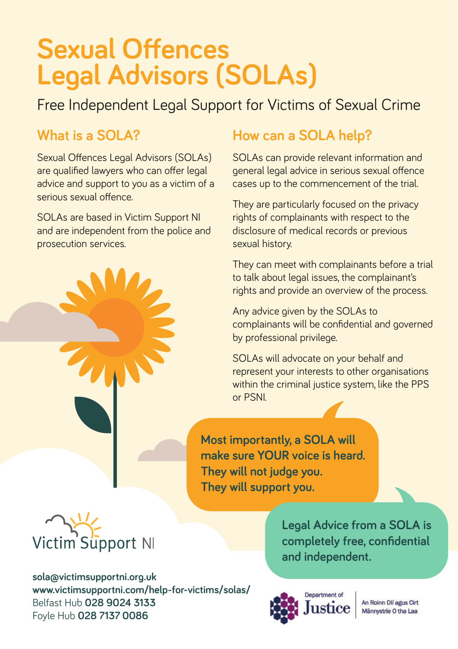## **Sexual Offences Legal Advisors (SOLAs)**

Free Independent Legal Support for Victims of Sexual Crime

### **What is a SOLA?**

Sexual Offences Legal Advisors (SOLAs) are qualified lawyers who can offer legal advice and support to you as a victim of a serious sexual offence

SOLAs are based in Victim Support NI and are independent from the police and prosecution services.

## **How can a SOLA help?**

SOLAs can provide relevant information and general legal advice in serious sexual offence cases up to the commencement of the trial.

They are particularly focused on the privacy rights of complainants with respect to the disclosure of medical records or previous sexual history.

They can meet with complainants before a trial to talk about legal issues, the complainant's rights and provide an overview of the process.

Any advice given by the SOLAs to complainants will be confidential and governed by professional privilege.

SOLAs will advocate on your behalf and represent your interests to other organisations within the criminal justice system, like the PPS or PSNI.

**Most importantly, a SOLA will make sure YOUR voice is heard. They will not judge you. They will support you.**



**sola@victimsupportni.org.uk www.victimsupportni.com/help-for-victims/solas/**  Belfast Hub **028 9024 3133** Foyle Hub **028 7137 0086**

**Legal Advice from a SOLA is**  completely free, confidential **and independent.**



An Roinn Dlí agus Cirt Männystrie O tha Laa